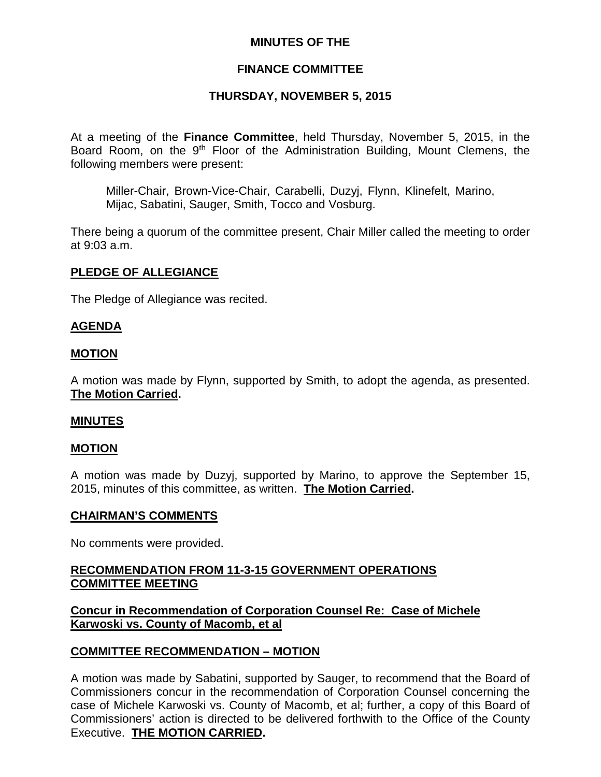## **MINUTES OF THE**

## **FINANCE COMMITTEE**

## **THURSDAY, NOVEMBER 5, 2015**

At a meeting of the **Finance Committee**, held Thursday, November 5, 2015, in the Board Room, on the 9<sup>th</sup> Floor of the Administration Building, Mount Clemens, the following members were present:

Miller-Chair, Brown-Vice-Chair, Carabelli, Duzyj, Flynn, Klinefelt, Marino, Mijac, Sabatini, Sauger, Smith, Tocco and Vosburg.

There being a quorum of the committee present, Chair Miller called the meeting to order at 9:03 a.m.

### **PLEDGE OF ALLEGIANCE**

The Pledge of Allegiance was recited.

### **AGENDA**

#### **MOTION**

A motion was made by Flynn, supported by Smith, to adopt the agenda, as presented. **The Motion Carried.**

### **MINUTES**

### **MOTION**

A motion was made by Duzyj, supported by Marino, to approve the September 15, 2015, minutes of this committee, as written. **The Motion Carried.**

#### **CHAIRMAN'S COMMENTS**

No comments were provided.

## **RECOMMENDATION FROM 11-3-15 GOVERNMENT OPERATIONS COMMITTEE MEETING**

## **Concur in Recommendation of Corporation Counsel Re: Case of Michele Karwoski vs. County of Macomb, et al**

### **COMMITTEE RECOMMENDATION – MOTION**

A motion was made by Sabatini, supported by Sauger, to recommend that the Board of Commissioners concur in the recommendation of Corporation Counsel concerning the case of Michele Karwoski vs. County of Macomb, et al; further, a copy of this Board of Commissioners' action is directed to be delivered forthwith to the Office of the County Executive. **THE MOTION CARRIED.**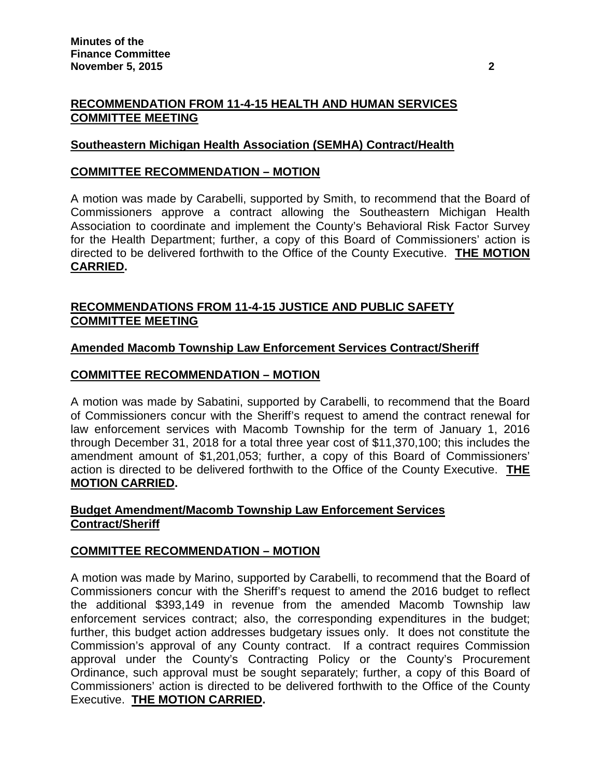## **RECOMMENDATION FROM 11-4-15 HEALTH AND HUMAN SERVICES COMMITTEE MEETING**

## **Southeastern Michigan Health Association (SEMHA) Contract/Health**

## **COMMITTEE RECOMMENDATION – MOTION**

A motion was made by Carabelli, supported by Smith, to recommend that the Board of Commissioners approve a contract allowing the Southeastern Michigan Health Association to coordinate and implement the County's Behavioral Risk Factor Survey for the Health Department; further, a copy of this Board of Commissioners' action is directed to be delivered forthwith to the Office of the County Executive. **THE MOTION CARRIED.**

# **RECOMMENDATIONS FROM 11-4-15 JUSTICE AND PUBLIC SAFETY COMMITTEE MEETING**

## **Amended Macomb Township Law Enforcement Services Contract/Sheriff**

## **COMMITTEE RECOMMENDATION – MOTION**

A motion was made by Sabatini, supported by Carabelli, to recommend that the Board of Commissioners concur with the Sheriff's request to amend the contract renewal for law enforcement services with Macomb Township for the term of January 1, 2016 through December 31, 2018 for a total three year cost of \$11,370,100; this includes the amendment amount of \$1,201,053; further, a copy of this Board of Commissioners' action is directed to be delivered forthwith to the Office of the County Executive. **THE MOTION CARRIED.**

## **Budget Amendment/Macomb Township Law Enforcement Services Contract/Sheriff**

### **COMMITTEE RECOMMENDATION – MOTION**

A motion was made by Marino, supported by Carabelli, to recommend that the Board of Commissioners concur with the Sheriff's request to amend the 2016 budget to reflect the additional \$393,149 in revenue from the amended Macomb Township law enforcement services contract; also, the corresponding expenditures in the budget; further, this budget action addresses budgetary issues only. It does not constitute the Commission's approval of any County contract. If a contract requires Commission approval under the County's Contracting Policy or the County's Procurement Ordinance, such approval must be sought separately; further, a copy of this Board of Commissioners' action is directed to be delivered forthwith to the Office of the County Executive. **THE MOTION CARRIED.**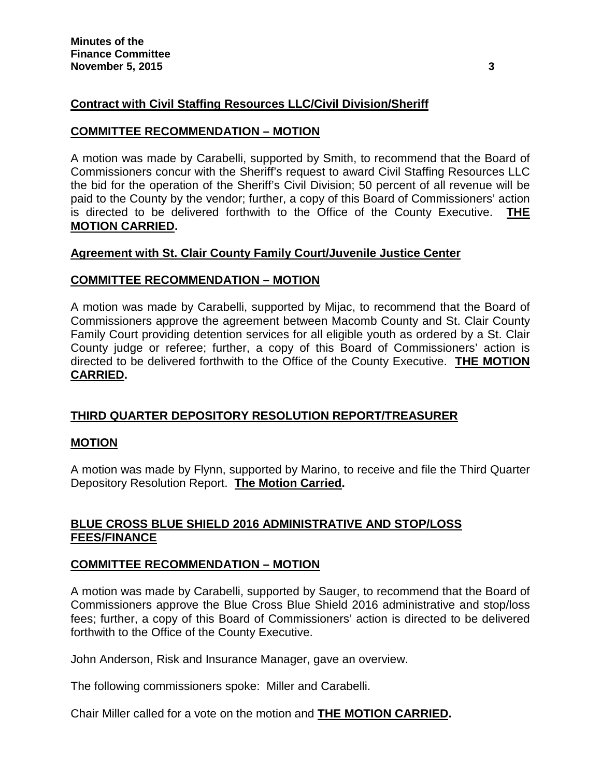# **Contract with Civil Staffing Resources LLC/Civil Division/Sheriff**

## **COMMITTEE RECOMMENDATION – MOTION**

A motion was made by Carabelli, supported by Smith, to recommend that the Board of Commissioners concur with the Sheriff's request to award Civil Staffing Resources LLC the bid for the operation of the Sheriff's Civil Division; 50 percent of all revenue will be paid to the County by the vendor; further, a copy of this Board of Commissioners' action is directed to be delivered forthwith to the Office of the County Executive. **THE MOTION CARRIED.**

# **Agreement with St. Clair County Family Court/Juvenile Justice Center**

# **COMMITTEE RECOMMENDATION – MOTION**

A motion was made by Carabelli, supported by Mijac, to recommend that the Board of Commissioners approve the agreement between Macomb County and St. Clair County Family Court providing detention services for all eligible youth as ordered by a St. Clair County judge or referee; further, a copy of this Board of Commissioners' action is directed to be delivered forthwith to the Office of the County Executive. **THE MOTION CARRIED.**

# **THIRD QUARTER DEPOSITORY RESOLUTION REPORT/TREASURER**

## **MOTION**

A motion was made by Flynn, supported by Marino, to receive and file the Third Quarter Depository Resolution Report. **The Motion Carried.**

# **BLUE CROSS BLUE SHIELD 2016 ADMINISTRATIVE AND STOP/LOSS FEES/FINANCE**

## **COMMITTEE RECOMMENDATION – MOTION**

A motion was made by Carabelli, supported by Sauger, to recommend that the Board of Commissioners approve the Blue Cross Blue Shield 2016 administrative and stop/loss fees; further, a copy of this Board of Commissioners' action is directed to be delivered forthwith to the Office of the County Executive.

John Anderson, Risk and Insurance Manager, gave an overview.

The following commissioners spoke: Miller and Carabelli.

Chair Miller called for a vote on the motion and **THE MOTION CARRIED.**